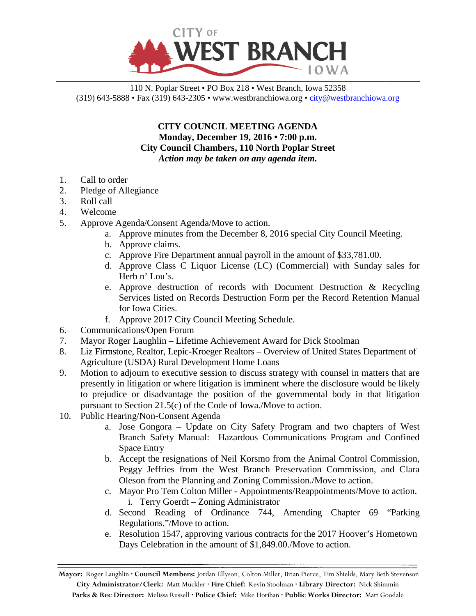

## 110 N. Poplar Street • PO Box 218 • West Branch, Iowa 52358 (319) 643-5888 • Fax (319) 643-2305 • www.westbranchiowa.org •  $\text{city@westbranchiowa.org}$

**CITY COUNCIL MEETING AGENDA Monday, December 19, 2016 • 7:00 p.m. City Council Chambers, 110 North Poplar Street** *Action may be taken on any agenda item.*

- 1. Call to order
- 2. Pledge of Allegiance
- 3. Roll call
- 4. Welcome
- 5. Approve Agenda/Consent Agenda/Move to action.
	- a. Approve minutes from the December 8, 2016 special City Council Meeting.
	- b. Approve claims.
	- c. Approve Fire Department annual payroll in the amount of \$33,781.00.
	- d. Approve Class C Liquor License (LC) (Commercial) with Sunday sales for Herb n' Lou's.
	- e. Approve destruction of records with Document Destruction & Recycling Services listed on Records Destruction Form per the Record Retention Manual for Iowa Cities.
	- f. Approve 2017 City Council Meeting Schedule.
- 6. Communications/Open Forum
- 7. Mayor Roger Laughlin Lifetime Achievement Award for Dick Stoolman
- 8. Liz Firmstone, Realtor, Lepic-Kroeger Realtors Overview of United States Department of Agriculture (USDA) Rural Development Home Loans
- 9. Motion to adjourn to executive session to discuss strategy with counsel in matters that are presently in litigation or where litigation is imminent where the disclosure would be likely to prejudice or disadvantage the position of the governmental body in that litigation pursuant to Section 21.5(c) of the Code of Iowa./Move to action.
- 10. Public Hearing/Non-Consent Agenda
	- a. Jose Gongora Update on City Safety Program and two chapters of West Branch Safety Manual: Hazardous Communications Program and Confined Space Entry
	- b. Accept the resignations of Neil Korsmo from the Animal Control Commission, Peggy Jeffries from the West Branch Preservation Commission, and Clara Oleson from the Planning and Zoning Commission./Move to action.
	- c. Mayor Pro Tem Colton Miller Appointments/Reappointments/Move to action. i. Terry Goerdt – Zoning Administrator
	- d. Second Reading of Ordinance 744, Amending Chapter 69 "Parking Regulations."/Move to action.
	- e. Resolution 1547, approving various contracts for the 2017 Hoover's Hometown Days Celebration in the amount of \$1,849.00./Move to action.

**Mayor:** Roger Laughlin **· Council Members:** Jordan Ellyson, Colton Miller, Brian Pierce, Tim Shields, Mary Beth Stevenson **City Administrator/Clerk:** Matt Muckler **· Fire Chief:** Kevin Stoolman **· Library Director:** Nick Shimmin **Parks & Rec Director:** Melissa Russell **· Police Chief:** Mike Horihan **· Public Works Director:** Matt Goodale